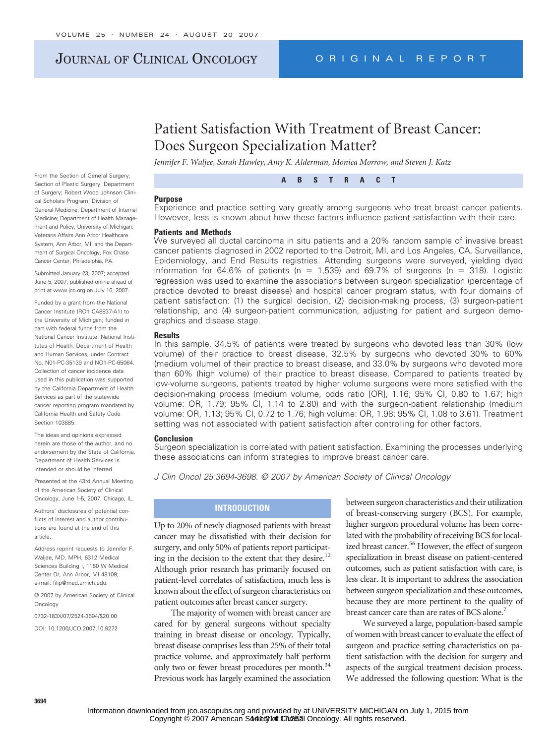# JOURNAL OF CLINICAL ONCOLOGY ORIGINAL REPORT

# Patient Satisfaction With Treatment of Breast Cancer: Does Surgeon Specialization Matter?

*Jennifer F. Waljee, Sarah Hawley, Amy K. Alderman, Monica Morrow, and Steven J. Katz*

**ABSTRACT**

#### **Purpose**

Experience and practice setting vary greatly among surgeons who treat breast cancer patients. However, less is known about how these factors influence patient satisfaction with their care.

## **Patients and Methods**

We surveyed all ductal carcinoma in situ patients and a 20% random sample of invasive breast cancer patients diagnosed in 2002 reported to the Detroit, MI, and Los Angeles, CA, Surveillance, Epidemiology, and End Results registries. Attending surgeons were surveyed, yielding dyad information for 64.6% of patients ( $n = 1,539$ ) and 69.7% of surgeons ( $n = 318$ ). Logistic regression was used to examine the associations between surgeon specialization (percentage of practice devoted to breast disease) and hospital cancer program status, with four domains of patient satisfaction: (1) the surgical decision, (2) decision-making process, (3) surgeon-patient relationship, and (4) surgeon-patient communication, adjusting for patient and surgeon demographics and disease stage.

#### **Results**

In this sample, 34.5% of patients were treated by surgeons who devoted less than 30% (low volume) of their practice to breast disease, 32.5% by surgeons who devoted 30% to 60% (medium volume) of their practice to breast disease, and 33.0% by surgeons who devoted more than 60% (high volume) of their practice to breast disease. Compared to patients treated by low-volume surgeons, patients treated by higher volume surgeons were more satisfied with the decision-making process (medium volume, odds ratio [OR], 1.16; 95% CI, 0.80 to 1.67; high volume: OR, 1.79; 95% CI, 1.14 to 2.80) and with the surgeon-patient relationship (medium volume: OR, 1.13; 95% CI, 0.72 to 1.76; high volume: OR, 1.98; 95% CI, 1.08 to 3.61). Treatment setting was not associated with patient satisfaction after controlling for other factors.

#### **Conclusion**

Surgeon specialization is correlated with patient satisfaction. Examining the processes underlying these associations can inform strategies to improve breast cancer care.

*J Clin Oncol 25:3694-3698. © 2007 by American Society of Clinical Oncology*

## **INTRODUCTION**

Up to 20% of newly diagnosed patients with breast cancer may be dissatisfied with their decision for surgery, and only 50% of patients report participating in the decision to the extent that they desire.<sup>12</sup> Although prior research has primarily focused on patient-level correlates of satisfaction, much less is known about the effect of surgeon characteristics on patient outcomes after breast cancer surgery.

The majority of women with breast cancer are cared for by general surgeons without specialty training in breast disease or oncology. Typically, breast disease comprises less than 25% of their total practice volume, and approximately half perform only two or fewer breast procedures per month.<sup>34</sup> Previous work has largely examined the association between surgeon characteristics and their utilization of breast-conserving surgery (BCS). For example, higher surgeon procedural volume has been correlated with the probability of receiving BCS for localized breast cancer.<sup>56</sup> However, the effect of surgeon specialization in breast disease on patient-centered outcomes, such as patient satisfaction with care, is less clear. It is important to address the association between surgeon specialization and these outcomes, because they are more pertinent to the quality of breast cancer care than are rates of BCS alone.<sup>7</sup>

We surveyed a large, population-based sample of women with breast cancer to evaluate the effect of surgeon and practice setting characteristics on patient satisfaction with the decision for surgery and aspects of the surgical treatment decision process. We addressed the following question: What is the

From the Section of General Surgery; Section of Plastic Surgery, Department of Surgery; Robert Wood Johnson Clinical Scholars Program; Division of General Medicine, Department of Internal Medicine; Department of Health Management and Policy, University of Michigan; Veterans Affairs Ann Arbor Healthcare System, Ann Arbor, MI; and the Department of Surgical Oncology, Fox Chase Cancer Center, Philadelphia, PA.

Submitted January 23, 2007; accepted June 5, 2007; published online ahead of print at www.jco.org on July 16, 2007.

Funded by a grant from the National Cancer Institute (RO1 CA8837-A1) to the University of Michigan; funded in part with federal funds from the National Cancer Institute, National Institutes of Health, Department of Health and Human Services, under Contract No. N01-PC-35139 and NO1-PC-65064. Collection of cancer incidence data used in this publication was supported by the California Department of Health Services as part of the statewide cancer reporting program mandated by California Health and Safety Code Section 103885.

The ideas and opinions expressed herein are those of the author, and no endorsement by the State of California, Department of Health Services is intended or should be inferred.

Presented at the 43rd Annual Meeting of the American Society of Clinical Oncology, June 1-5, 2007, Chicago, IL.

Authors' disclosures of potential conflicts of interest and author contributions are found at the end of this article.

Address reprint requests to Jennifer F. Waljee, MD, MPH, 6312 Medical Sciences Building I, 1150 W Medical Center Dr, Ann Arbor, MI 48109; e-mail: filip@med.umich.edu.

© 2007 by American Society of Clinical Oncology

0732-183X/07/2524-3694/\$20.00 DOI: 10.1200/JCO.2007.10.9272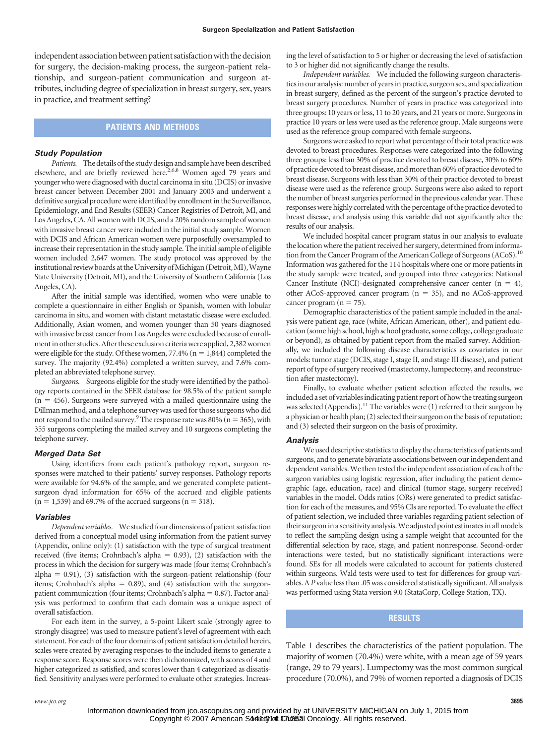independent association between patient satisfaction with the decision for surgery, the decision-making process, the surgeon-patient relationship, and surgeon-patient communication and surgeon attributes, including degree of specialization in breast surgery, sex, years in practice, and treatment setting?

## **PATIENTS AND METHODS**

#### *Study Population*

*Patients.* The details of the study design and sample have been described elsewhere, and are briefly reviewed here.<sup>2,6,8</sup> Women aged 79 years and younger who were diagnosed with ductal carcinoma in situ (DCIS) or invasive breast cancer between December 2001 and January 2003 and underwent a definitive surgical procedure were identified by enrollment in the Surveillance, Epidemiology, and End Results (SEER) Cancer Registries of Detroit, MI, and Los Angeles, CA. All women with DCIS, and a 20% random sample of women with invasive breast cancer were included in the initial study sample. Women with DCIS and African American women were purposefully oversampled to increase their representation in the study sample. The initial sample of eligible women included 2,647 women. The study protocol was approved by the institutional review boards at the University of Michigan (Detroit, MI), Wayne State University (Detroit, MI), and the University of Southern California (Los Angeles, CA).

After the initial sample was identified, women who were unable to complete a questionnaire in either English or Spanish, women with lobular carcinoma in situ, and women with distant metastatic disease were excluded. Additionally, Asian women, and women younger than 50 years diagnosed with invasive breast cancer from Los Angeles were excluded because of enrollmentin other studies.After these exclusion criteriawere applied, 2,382women were eligible for the study. Of these women, 77.4% ( $n = 1,844$ ) completed the survey. The majority (92.4%) completed a written survey, and 7.6% completed an abbreviated telephone survey.

*Surgeons.* Surgeons eligible for the study were identified by the pathology reports contained in the SEER database for 98.5% of the patient sample  $(n = 456)$ . Surgeons were surveyed with a mailed questionnaire using the Dillman method, and a telephone survey was used for those surgeons who did not respond to the mailed survey.<sup>9</sup> The response rate was 80% ( $n = 365$ ), with 355 surgeons completing the mailed survey and 10 surgeons completing the telephone survey.

## *Merged Data Set*

Using identifiers from each patient's pathology report, surgeon responses were matched to their patients' survey responses. Pathology reports were available for 94.6% of the sample, and we generated complete patientsurgeon dyad information for 65% of the accrued and eligible patients  $(n = 1,539)$  and 69.7% of the accrued surgeons  $(n = 318)$ .

#### *Variables*

*Dependent variables.* We studiedfour dimensions of patient satisfaction derived from a conceptual model using information from the patient survey (Appendix, online only): (1) satisfaction with the type of surgical treatment received (five items; Crohnbach's alpha =  $0.93$ ), (2) satisfaction with the process in which the decision for surgery was made (four items; Crohnbach's alpha  $= 0.91$ ), (3) satisfaction with the surgeon-patient relationship (four items; Crohnbach's alpha  $= 0.89$ ), and (4) satisfaction with the surgeonpatient communication (four items; Crohnbach's alpha  $= 0.87$ ). Factor analysis was performed to confirm that each domain was a unique aspect of overall satisfaction.

For each item in the survey, a 5-point Likert scale (strongly agree to strongly disagree) was used to measure patient's level of agreement with each statement. For each of the four domains of patient satisfaction detailed herein, scales were created by averaging responses to the included items to generate a response score. Response scores were then dichotomized, with scores of 4 and higher categorized as satisfied, and scores lower than 4 categorized as dissatisfied. Sensitivity analyses were performed to evaluate other strategies. Increasing the level of satisfaction to 5 or higher or decreasing the level of satisfaction to 3 or higher did not significantly change the results.

*Independent variables.* We included the following surgeon characteristics in our analysis: number of years in practice, surgeon sex, and specialization in breast surgery, defined as the percent of the surgeon's practice devoted to breast surgery procedures. Number of years in practice was categorized into three groups: 10 years or less, 11 to 20 years, and 21 years or more. Surgeons in practice 10 years or less were used as the reference group. Male surgeons were used as the reference group compared with female surgeons.

Surgeons were asked to report what percentage of their total practice was devoted to breast procedures. Responses were categorized into the following three groups: less than 30% of practice devoted to breast disease, 30% to 60% of practice devoted to breast disease, andmore than 60% of practice devoted to breast disease. Surgeons with less than 30% of their practice devoted to breast disease were used as the reference group. Surgeons were also asked to report the number of breast surgeries performed in the previous calendar year. These responses were highly correlated with the percentage of the practice devoted to breast disease, and analysis using this variable did not significantly alter the results of our analysis.

We included hospital cancer program status in our analysis to evaluate the location where the patient received her surgery, determined from information from the Cancer Program of the American College of Surgeons (ACoS).<sup>10</sup> Information was gathered for the 114 hospitals where one or more patients in the study sample were treated, and grouped into three categories: National Cancer Institute (NCI)-designated comprehensive cancer center  $(n = 4)$ , other ACoS-approved cancer program  $(n = 35)$ , and no ACoS-approved cancer program  $(n = 75)$ .

Demographic characteristics of the patient sample included in the analysis were patient age, race (white, African American, other), and patient education (some high school, high school graduate, some college, college graduate or beyond), as obtained by patient report from the mailed survey. Additionally, we included the following disease characteristics as covariates in our models: tumor stage (DCIS, stage I, stage II, and stage III disease), and patient report of type of surgery received (mastectomy, lumpectomy, and reconstruction after mastectomy).

Finally, to evaluate whether patient selection affected the results, we included a set of variables indicating patient report of how the treating surgeon was selected (Appendix).<sup>11</sup> The variables were (1) referred to their surgeon by a physician or health plan; (2) selected their surgeon on the basis of reputation; and (3) selected their surgeon on the basis of proximity.

#### *Analysis*

We used descriptive statistics to display the characteristics of patients and surgeons, and to generate bivariate associations between our independent and dependent variables. We then tested the independent association of each of the surgeon variables using logistic regression, after including the patient demographic (age, education, race) and clinical (tumor stage, surgery received) variables in the model. Odds ratios (ORs) were generated to predict satisfaction for each of the measures, and 95% CIs are reported. To evaluate the effect of patient selection, we included three variables regarding patient selection of their surgeon in a sensitivity analysis. We adjusted point estimates in all models to reflect the sampling design using a sample weight that accounted for the differential selection by race, stage, and patient nonresponse. Second-order interactions were tested, but no statistically significant interactions were found. SEs for all models were calculated to account for patients clustered within surgeons. Wald tests were used to test for differences for group variables. A*P* value less than .05 was considered statistically significant. All analysis was performed using Stata version 9.0 (StataCorp, College Station, TX).

## **RESULTS**

Table 1 describes the characteristics of the patient population. The majority of women (70.4%) were white, with a mean age of 59 years (range, 29 to 79 years). Lumpectomy was the most common surgical procedure (70.0%), and 79% of women reported a diagnosis of DCIS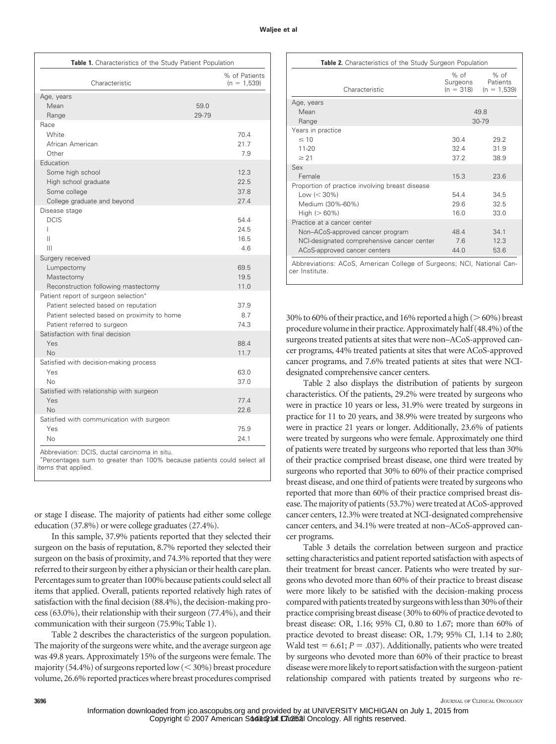## **Waljee et al**

| Characteristic                                                                                                                                             | % of Patients<br>$(n = 1.539)$ |                              |  |
|------------------------------------------------------------------------------------------------------------------------------------------------------------|--------------------------------|------------------------------|--|
| Age, years<br>Mean<br>Range                                                                                                                                | 59.0<br>29-79                  |                              |  |
| Race<br><b>White</b><br>African American<br>Other                                                                                                          |                                | 70.4<br>21.7<br>7.9          |  |
| Education<br>Some high school<br>High school graduate<br>Some college<br>College graduate and beyond                                                       |                                | 12.3<br>22.5<br>37.8<br>27.4 |  |
| Disease stage<br><b>DCIS</b><br>L<br>Ш<br>Ш                                                                                                                |                                | 54.4<br>24.5<br>16.5<br>4.6  |  |
| Surgery received<br>Lumpectomy<br>Mastectomy<br>Reconstruction following mastectomy                                                                        |                                | 69.5<br>19.5<br>11.0         |  |
| Patient report of surgeon selection*<br>Patient selected based on reputation<br>Patient selected based on proximity to home<br>Patient referred to surgeon |                                | 37.9<br>8.7<br>74.3          |  |
| Satisfaction with final decision<br>Yes<br><b>No</b>                                                                                                       |                                | 88.4<br>11.7                 |  |
| Satisfied with decision-making process<br>Yes<br><b>No</b>                                                                                                 |                                | 63.0<br>37.0                 |  |
| Satisfied with relationship with surgeon<br>Yes<br>No.                                                                                                     |                                | 77.4<br>22.6                 |  |
| Satisfied with communication with surgeon<br>Yes<br><b>No</b>                                                                                              |                                | 75.9<br>24.1                 |  |

or stage I disease. The majority of patients had either some college

education (37.8%) or were college graduates (27.4%).

In this sample, 37.9% patients reported that they selected their surgeon on the basis of reputation, 8.7% reported they selected their surgeon on the basis of proximity, and 74.3% reported that they were referred to their surgeon by either a physician or their health care plan. Percentages sum to greater than 100% because patients could select all items that applied. Overall, patients reported relatively high rates of satisfaction with the final decision (88.4%), the decision-making process (63.0%), their relationship with their surgeon (77.4%), and their communication with their surgeon (75.9%; Table 1).

Table 2 describes the characteristics of the surgeon population. The majority of the surgeons were white, and the average surgeon age was 49.8 years. Approximately 15% of the surgeons were female. The majority (54.4%) of surgeons reported low ( $<$  30%) breast procedure volume, 26.6% reported practices where breast procedures comprised

| Table 2. Characteristics of the Study Surgeon Population                                |                                 |                                     |  |  |  |  |
|-----------------------------------------------------------------------------------------|---------------------------------|-------------------------------------|--|--|--|--|
| Characteristic                                                                          | % of<br>Surgeons<br>$(n = 318)$ | $%$ of<br>Patients<br>$(n = 1,539)$ |  |  |  |  |
| Age, years                                                                              |                                 |                                     |  |  |  |  |
| Mean<br>Range                                                                           | 49.8<br>$30 - 79$               |                                     |  |  |  |  |
| Years in practice                                                                       |                                 |                                     |  |  |  |  |
| $\leq 10$                                                                               | 30.4                            | 29.2                                |  |  |  |  |
| $11 - 20$                                                                               | 32.4                            | 31.9                                |  |  |  |  |
| $\geq$ 21                                                                               | 37.2                            | 38.9                                |  |  |  |  |
| Sex                                                                                     |                                 |                                     |  |  |  |  |
| Female                                                                                  | 15.3                            | 23.6                                |  |  |  |  |
| Proportion of practice involving breast disease                                         |                                 |                                     |  |  |  |  |
| Low $(< 30\%)$                                                                          | 54.4                            | 34.5                                |  |  |  |  |
| Medium (30%-60%)                                                                        | 29.6                            | 32.5                                |  |  |  |  |
| High $(>60\%)$                                                                          | 16.0                            | 33.0                                |  |  |  |  |
| Practice at a cancer center                                                             |                                 |                                     |  |  |  |  |
| Non-ACoS-approved cancer program                                                        | 48.4                            | 34.1                                |  |  |  |  |
| NCI-designated comprehensive cancer center                                              | 7.6                             | 12.3                                |  |  |  |  |
| ACoS-approved cancer centers                                                            | 44.0                            | 53.6                                |  |  |  |  |
| Abbreviations: ACoS, American College of Surgeons; NCI, National Can-<br>cer Institute. |                                 |                                     |  |  |  |  |

30% to 60% of their practice, and 16% reported a high ( $>60\%$ ) breast procedure volumein their practice.Approximately half (48.4%) of the surgeons treated patients at sites that were non–ACoS-approved cancer programs, 44% treated patients at sites that were ACoS-approved cancer programs, and 7.6% treated patients at sites that were NCIdesignated comprehensive cancer centers.

Table 2 also displays the distribution of patients by surgeon characteristics. Of the patients, 29.2% were treated by surgeons who were in practice 10 years or less, 31.9% were treated by surgeons in practice for 11 to 20 years, and 38.9% were treated by surgeons who were in practice 21 years or longer. Additionally, 23.6% of patients were treated by surgeons who were female. Approximately one third of patients were treated by surgeons who reported that less than 30% of their practice comprised breast disease, one third were treated by surgeons who reported that 30% to 60% of their practice comprised breast disease, and one third of patients were treated by surgeons who reported that more than 60% of their practice comprised breast disease. The majority of patients (53.7%) were treated at ACoS-approved cancer centers, 12.3% were treated at NCI-designated comprehensive cancer centers, and 34.1% were treated at non–ACoS-approved cancer programs.

Table 3 details the correlation between surgeon and practice setting characteristics and patient reported satisfaction with aspects of their treatment for breast cancer. Patients who were treated by surgeons who devoted more than 60% of their practice to breast disease were more likely to be satisfied with the decision-making process comparedwith patients treated by surgeonswithless than 30% of their practice comprising breast disease (30% to 60% of practice devoted to breast disease: OR, 1.16; 95% CI, 0.80 to 1.67; more than 60% of practice devoted to breast disease: OR, 1.79; 95% CI, 1.14 to 2.80; Wald test  $= 6.61; P = .037$ ). Additionally, patients who were treated by surgeons who devoted more than 60% of their practice to breast disease were more likely to report satisfaction with the surgeon-patient relationship compared with patients treated by surgeons who re-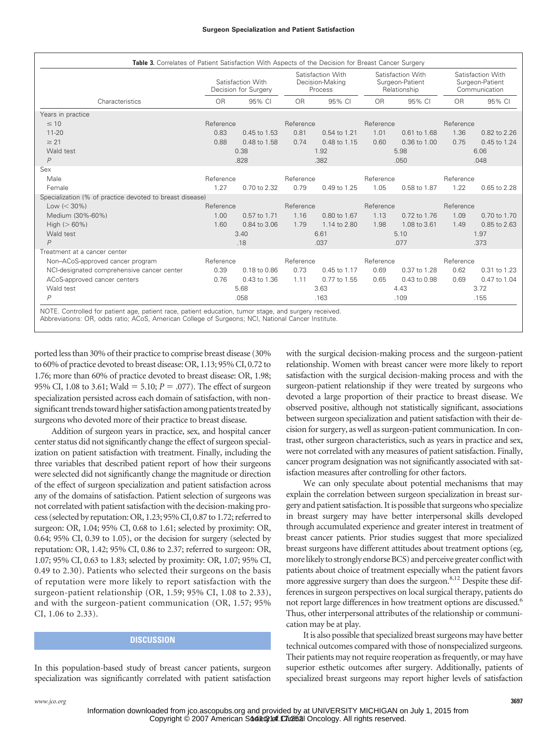| Table 3. Correlates of Patient Satisfaction With Aspects of the Decision for Breast Cancer Surgery    |                                           |              |                                                 |              |                                                      |              |                                                       |              |  |
|-------------------------------------------------------------------------------------------------------|-------------------------------------------|--------------|-------------------------------------------------|--------------|------------------------------------------------------|--------------|-------------------------------------------------------|--------------|--|
|                                                                                                       | Satisfaction With<br>Decision for Surgery |              | Satisfaction With<br>Decision-Making<br>Process |              | Satisfaction With<br>Surgeon-Patient<br>Relationship |              | Satisfaction With<br>Surgeon-Patient<br>Communication |              |  |
| Characteristics                                                                                       | <b>OR</b>                                 | 95% CI       | <b>OR</b>                                       | 95% CI       | <b>OR</b>                                            | 95% CI       | <b>OR</b>                                             | 95% CI       |  |
| Years in practice                                                                                     |                                           |              |                                                 |              |                                                      |              |                                                       |              |  |
| $\leq 10$                                                                                             | Reference                                 |              | Reference                                       |              | Reference                                            |              | Reference                                             |              |  |
| $11 - 20$                                                                                             | 0.83                                      | 0.45 to 1.53 | 0.81                                            | 0.54 to 1.21 | 1.01                                                 | 0.61 to 1.68 | 1.36                                                  | 0.82 to 2.26 |  |
| $\geq$ 21                                                                                             | 0.88                                      | 0.48 to 1.58 | 0.74                                            | 0.48 to 1.15 | 0.60                                                 | 0.36 to 1.00 | 0.75                                                  | 0.45 to 1.24 |  |
| Wald test                                                                                             |                                           | 0.38         |                                                 | 1.92         |                                                      | 5.98         |                                                       | 6.06         |  |
| $\overline{P}$                                                                                        |                                           | .828         |                                                 | .382         |                                                      | .050         |                                                       | .048         |  |
| Sex                                                                                                   |                                           |              |                                                 |              |                                                      |              |                                                       |              |  |
| Male                                                                                                  | Reference                                 |              | Reference                                       |              | Reference                                            |              | Reference                                             |              |  |
| Female                                                                                                | 1.27                                      | 0.70 to 2.32 | 0.79                                            | 0.49 to 1.25 | 1.05                                                 | 0.58 to 1.87 | 1.22                                                  | 0.65 to 2.28 |  |
| Specialization (% of practice devoted to breast disease)                                              |                                           |              |                                                 |              |                                                      |              |                                                       |              |  |
| Low $(< 30\%)$                                                                                        | Reference                                 |              | Reference                                       |              | Reference                                            |              | Reference                                             |              |  |
| Medium (30%-60%)                                                                                      | 1.00                                      | 0.57 to 1.71 | 1.16                                            | 0.80 to 1.67 | 1.13                                                 | 0.72 to 1.76 | 1.09                                                  | 0.70 to 1.70 |  |
| High $(>60\%)$                                                                                        | 1.60                                      | 0.84 to 3.06 | 1.79                                            | 1.14 to 2.80 | 1.98                                                 | 1.08 to 3.61 | 1.49                                                  | 0.85 to 2.63 |  |
| Wald test                                                                                             |                                           | 3.40         |                                                 | 6.61         |                                                      | 5.10         |                                                       | 1.97         |  |
| $\overline{P}$                                                                                        |                                           | .18          |                                                 | .037         |                                                      | .077         |                                                       | .373         |  |
| Treatment at a cancer center                                                                          |                                           |              |                                                 |              |                                                      |              |                                                       |              |  |
| Non-ACoS-approved cancer program                                                                      | Reference                                 |              | Reference                                       |              | Reference                                            |              | Reference                                             |              |  |
| NCI-designated comprehensive cancer center                                                            | 0.39                                      | 0.18 to 0.86 | 0.73                                            | 0.45 to 1.17 | 0.69                                                 | 0.37 to 1.28 | 0.62                                                  | 0.31 to 1.23 |  |
| ACoS-approved cancer centers                                                                          | 0.76                                      | 0.43 to 1.36 | 1.11                                            | 0.77 to 1.55 | 0.65                                                 | 0.43 to 0.98 | 0.69                                                  | 0.47 to 1.04 |  |
| Wald test                                                                                             |                                           | 5.68         |                                                 | 3.63         |                                                      | 4.43         |                                                       | 3.72         |  |
| $\overline{P}$                                                                                        |                                           | .058         |                                                 | .163         |                                                      | .109         |                                                       | .155         |  |
| NOTE. Controlled for patient age, patient race, patient education, tumor stage, and surgery received. |                                           |              |                                                 |              |                                                      |              |                                                       |              |  |

Abbreviations: OR, odds ratio; ACoS, American College of Surgeons; NCI, National Cancer Institute.

ported less than 30% of their practice to comprise breast disease (30% to 60% of practice devoted to breast disease: OR, 1.13; 95% CI, 0.72 to 1.76; more than 60% of practice devoted to breast disease: OR, 1.98; 95% CI, 1.08 to 3.61; Wald = 5.10;  $P = .077$ ). The effect of surgeon specialization persisted across each domain of satisfaction, with nonsignificant trends toward higher satisfaction among patients treated by surgeons who devoted more of their practice to breast disease.

Addition of surgeon years in practice, sex, and hospital cancer center status did not significantly change the effect of surgeon specialization on patient satisfaction with treatment. Finally, including the three variables that described patient report of how their surgeons were selected did not significantly change the magnitude or direction of the effect of surgeon specialization and patient satisfaction across any of the domains of satisfaction. Patient selection of surgeons was not correlated with patient satisfaction with the decision-making process (selected by reputation: OR, 1.23; 95% CI, 0.87 to 1.72; referred to surgeon: OR, 1.04; 95% CI, 0.68 to 1.61; selected by proximity: OR, 0.64; 95% CI, 0.39 to 1.05), or the decision for surgery (selected by reputation: OR, 1.42; 95% CI, 0.86 to 2.37; referred to surgeon: OR, 1.07; 95% CI, 0.63 to 1.83; selected by proximity: OR, 1.07; 95% CI, 0.49 to 2.30). Patients who selected their surgeons on the basis of reputation were more likely to report satisfaction with the surgeon-patient relationship (OR, 1.59; 95% CI, 1.08 to 2.33), and with the surgeon-patient communication (OR, 1.57; 95% CI, 1.06 to 2.33).

# **DISCUSSION**

In this population-based study of breast cancer patients, surgeon specialization was significantly correlated with patient satisfaction with the surgical decision-making process and the surgeon-patient relationship. Women with breast cancer were more likely to report satisfaction with the surgical decision-making process and with the surgeon-patient relationship if they were treated by surgeons who devoted a large proportion of their practice to breast disease. We observed positive, although not statistically significant, associations between surgeon specialization and patient satisfaction with their decision for surgery, as well as surgeon-patient communication. In contrast, other surgeon characteristics, such as years in practice and sex, were not correlated with any measures of patient satisfaction. Finally, cancer program designation was not significantly associated with satisfaction measures after controlling for other factors.

We can only speculate about potential mechanisms that may explain the correlation between surgeon specialization in breast surgery and patient satisfaction. It is possible that surgeons who specialize in breast surgery may have better interpersonal skills developed through accumulated experience and greater interest in treatment of breast cancer patients. Prior studies suggest that more specialized breast surgeons have different attitudes about treatment options (eg, more likely to strongly endorse BCS) and perceive greater conflict with patients about choice of treatment especially when the patient favors more aggressive surgery than does the surgeon.<sup>8,12</sup> Despite these differences in surgeon perspectives on local surgical therapy, patients do not report large differences in how treatment options are discussed.<sup>6</sup> Thus, other interpersonal attributes of the relationship or communication may be at play.

It is also possible that specialized breast surgeons may have better technical outcomes compared with those of nonspecialized surgeons. Their patients may not require reoperation as frequently, or may have superior esthetic outcomes after surgery. Additionally, patients of specialized breast surgeons may report higher levels of satisfaction